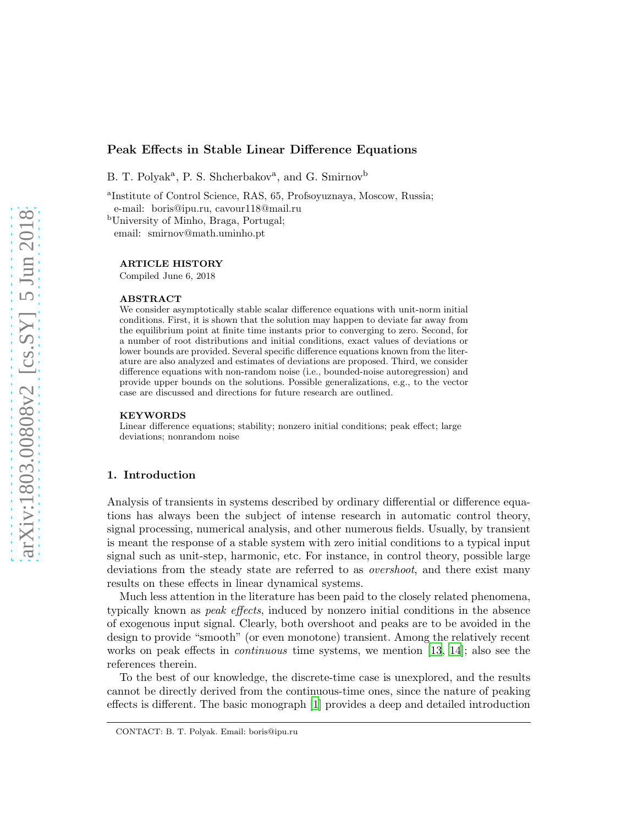# Peak Effects in Stable Linear Difference Equations

B. T. Polyak<sup>a</sup>, P. S. Shcherbakov<sup>a</sup>, and G. Smirnov<sup>b</sup>

a Institute of Control Science, RAS, 65, Profsoyuznaya, Moscow, Russia; e-mail: boris@ipu.ru, cavour118@mail.ru

<sup>b</sup>University of Minho, Braga, Portugal; email: smirnov@math.uminho.pt

### ARTICLE HISTORY

Compiled June 6, 2018

#### ABSTRACT

We consider asymptotically stable scalar difference equations with unit-norm initial conditions. First, it is shown that the solution may happen to deviate far away from the equilibrium point at finite time instants prior to converging to zero. Second, for a number of root distributions and initial conditions, exact values of deviations or lower bounds are provided. Several specific difference equations known from the literature are also analyzed and estimates of deviations are proposed. Third, we consider difference equations with non-random noise (i.e., bounded-noise autoregression) and provide upper bounds on the solutions. Possible generalizations, e.g., to the vector case are discussed and directions for future research are outlined.

#### **KEYWORDS**

Linear difference equations; stability; nonzero initial conditions; peak effect; large deviations; nonrandom noise

### 1. Introduction

Analysis of transients in systems described by ordinary differential or difference equations has always been the subject of intense research in automatic control theory, signal processing, numerical analysis, and other numerous fields. Usually, by transient is meant the response of a stable system with zero initial conditions to a typical input signal such as unit-step, harmonic, etc. For instance, in control theory, possible large deviations from the steady state are referred to as overshoot, and there exist many results on these effects in linear dynamical systems.

Much less attention in the literature has been paid to the closely related phenomena, typically known as peak effects, induced by nonzero initial conditions in the absence of exogenous input signal. Clearly, both overshoot and peaks are to be avoided in the design to provide "smooth" (or even monotone) transient. Among the relatively recent works on peak effects in *continuous* time systems, we mention [\[13](#page-14-0), [14\]](#page-14-1); also see the references therein.

To the best of our knowledge, the discrete-time case is unexplored, and the results cannot be directly derived from the continuous-time ones, since the nature of peaking effects is different. The basic monograph [\[1\]](#page-13-0) provides a deep and detailed introduction

CONTACT: B. T. Polyak. Email: boris@ipu.ru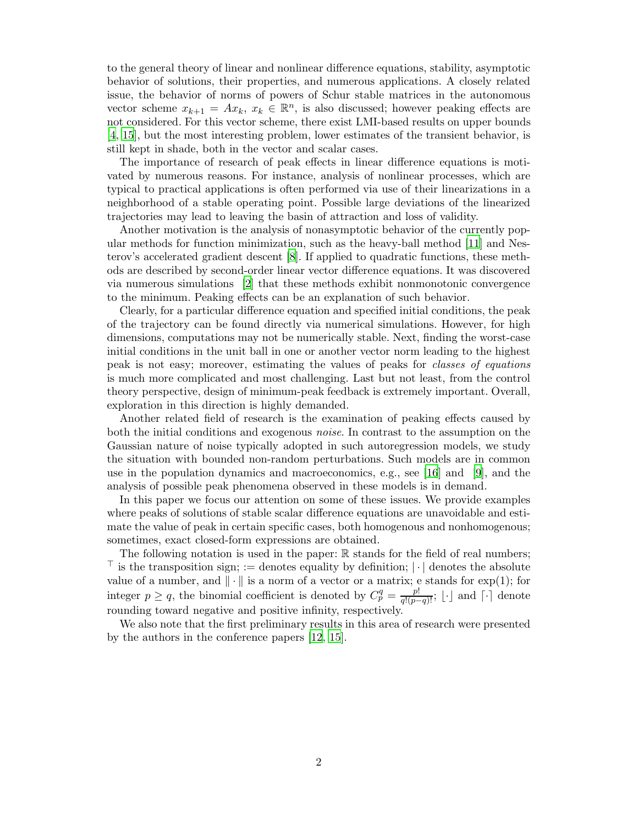to the general theory of linear and nonlinear difference equations, stability, asymptotic behavior of solutions, their properties, and numerous applications. A closely related issue, the behavior of norms of powers of Schur stable matrices in the autonomous vector scheme  $x_{k+1} = Ax_k, x_k \in \mathbb{R}^n$ , is also discussed; however peaking effects are not considered. For this vector scheme, there exist LMI-based results on upper bounds [\[4](#page-13-1), [15\]](#page-14-2), but the most interesting problem, lower estimates of the transient behavior, is still kept in shade, both in the vector and scalar cases.

The importance of research of peak effects in linear difference equations is motivated by numerous reasons. For instance, analysis of nonlinear processes, which are typical to practical applications is often performed via use of their linearizations in a neighborhood of a stable operating point. Possible large deviations of the linearized trajectories may lead to leaving the basin of attraction and loss of validity.

Another motivation is the analysis of nonasymptotic behavior of the currently popular methods for function minimization, such as the heavy-ball method [\[11](#page-14-3)] and Nesterov's accelerated gradient descent [\[8](#page-14-4)]. If applied to quadratic functions, these methods are described by second-order linear vector difference equations. It was discovered via numerous simulations [\[2\]](#page-13-2) that these methods exhibit nonmonotonic convergence to the minimum. Peaking effects can be an explanation of such behavior.

Clearly, for a particular difference equation and specified initial conditions, the peak of the trajectory can be found directly via numerical simulations. However, for high dimensions, computations may not be numerically stable. Next, finding the worst-case initial conditions in the unit ball in one or another vector norm leading to the highest peak is not easy; moreover, estimating the values of peaks for classes of equations is much more complicated and most challenging. Last but not least, from the control theory perspective, design of minimum-peak feedback is extremely important. Overall, exploration in this direction is highly demanded.

Another related field of research is the examination of peaking effects caused by both the initial conditions and exogenous noise. In contrast to the assumption on the Gaussian nature of noise typically adopted in such autoregression models, we study the situation with bounded non-random perturbations. Such models are in common use in the population dynamics and macroeconomics, e.g., see [\[16](#page-14-5)] and [\[9](#page-14-6)], and the analysis of possible peak phenomena observed in these models is in demand.

In this paper we focus our attention on some of these issues. We provide examples where peaks of solutions of stable scalar difference equations are unavoidable and estimate the value of peak in certain specific cases, both homogenous and nonhomogenous; sometimes, exact closed-form expressions are obtained.

The following notation is used in the paper:  $\mathbb R$  stands for the field of real numbers;  $<sup>⊤</sup>$  is the transposition sign; := denotes equality by definition;  $|\cdot|$  denotes the absolute</sup> value of a number, and  $\|\cdot\|$  is a norm of a vector or a matrix; e stands for exp(1); for integer  $p \ge q$ , the binomial coefficient is denoted by  $C_p^q = \frac{p!}{q!(p-q)!}$ ; [∴] and [∴] denote rounding toward negative and positive infinity, respectively.

We also note that the first preliminary results in this area of research were presented by the authors in the conference papers [\[12](#page-14-7), [15](#page-14-2)].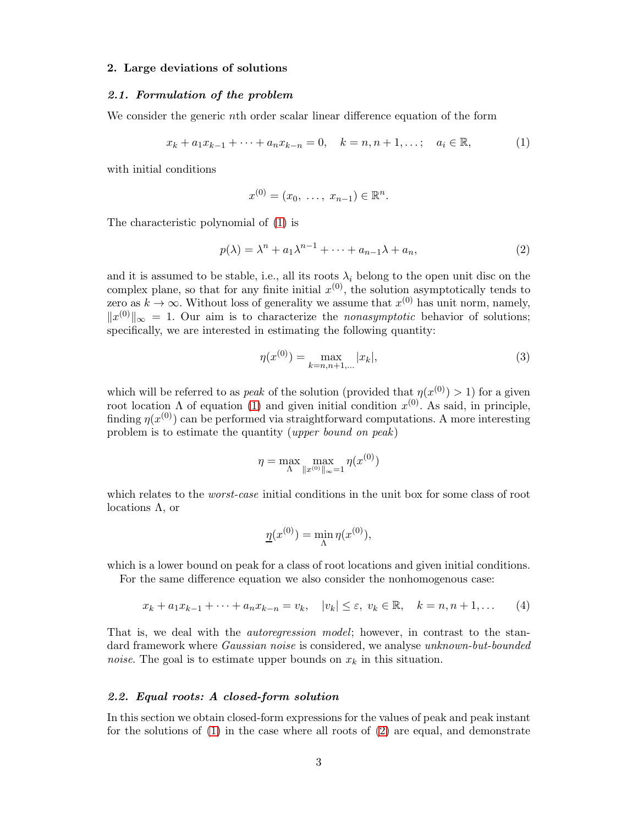### 2. Large deviations of solutions

### 2.1. Formulation of the problem

We consider the generic nth order scalar linear difference equation of the form

<span id="page-2-0"></span>
$$
x_k + a_1 x_{k-1} + \dots + a_n x_{k-n} = 0, \quad k = n, n+1, \dots; \quad a_i \in \mathbb{R}, \tag{1}
$$

with initial conditions

$$
x^{(0)} = (x_0, \ldots, x_{n-1}) \in \mathbb{R}^n.
$$

The characteristic polynomial of [\(1\)](#page-2-0) is

<span id="page-2-1"></span>
$$
p(\lambda) = \lambda^n + a_1 \lambda^{n-1} + \dots + a_{n-1} \lambda + a_n,
$$
\n(2)

and it is assumed to be stable, i.e., all its roots  $\lambda_i$  belong to the open unit disc on the complex plane, so that for any finite initial  $x^{(0)}$ , the solution asymptotically tends to zero as  $k \to \infty$ . Without loss of generality we assume that  $x^{(0)}$  has unit norm, namely,  $||x^{(0)}||_{\infty} = 1$ . Our aim is to characterize the *nonasymptotic* behavior of solutions; specifically, we are interested in estimating the following quantity:

<span id="page-2-2"></span>
$$
\eta(x^{(0)}) = \max_{k=n, n+1, \dots} |x_k|,\tag{3}
$$

which will be referred to as *peak* of the solution (provided that  $\eta(x^{(0)}) > 1$ ) for a given root location Λ of equation [\(1\)](#page-2-0) and given initial condition  $x^{(0)}$ . As said, in principle, finding  $\eta(x^{(0)})$  can be performed via straightforward computations. A more interesting problem is to estimate the quantity (upper bound on peak)

$$
\eta = \max_{\Lambda} \max_{\|x^{(0)}\|_{\infty} = 1} \eta(x^{(0)})
$$

which relates to the *worst-case* initial conditions in the unit box for some class of root locations Λ, or

$$
\underline{\eta}(x^{(0)}) = \min_{\Lambda} \eta(x^{(0)}),
$$

which is a lower bound on peak for a class of root locations and given initial conditions.

For the same difference equation we also consider the nonhomogenous case:

<span id="page-2-3"></span>
$$
x_k + a_1 x_{k-1} + \dots + a_n x_{k-n} = v_k, \quad |v_k| \le \varepsilon, \ v_k \in \mathbb{R}, \quad k = n, n+1, \dots \tag{4}
$$

That is, we deal with the *autoregression model*; however, in contrast to the standard framework where *Gaussian noise* is considered, we analyse *unknown-but-bounded noise*. The goal is to estimate upper bounds on  $x_k$  in this situation.

### <span id="page-2-4"></span>2.2. Equal roots: A closed-form solution

In this section we obtain closed-form expressions for the values of peak and peak instant for the solutions of [\(1\)](#page-2-0) in the case where all roots of [\(2\)](#page-2-1) are equal, and demonstrate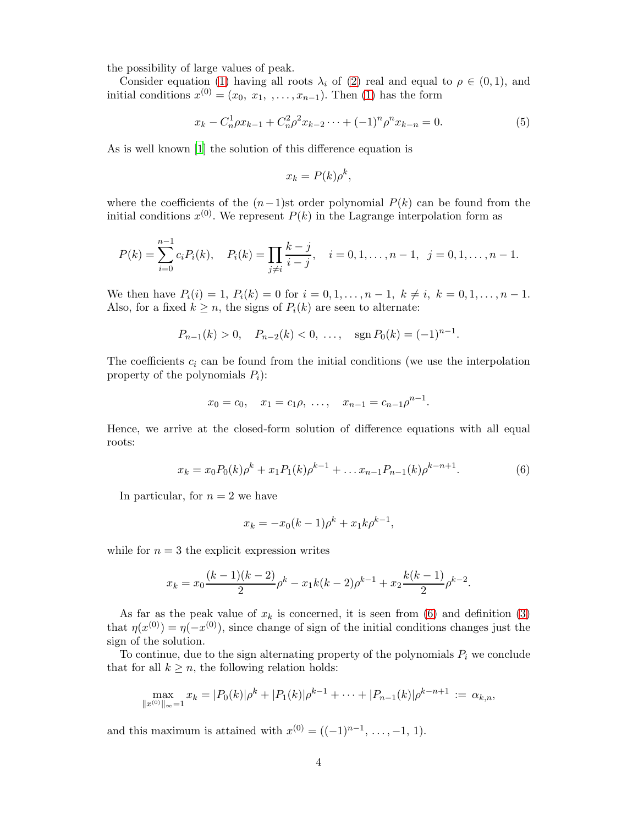the possibility of large values of peak.

Consider equation [\(1\)](#page-2-0) having all roots  $\lambda_i$  of [\(2\)](#page-2-1) real and equal to  $\rho \in (0,1)$ , and initial conditions  $x^{(0)} = (x_0, x_1, \ldots, x_{n-1})$ . Then [\(1\)](#page-2-0) has the form

<span id="page-3-1"></span>
$$
x_k - C_n^1 \rho x_{k-1} + C_n^2 \rho^2 x_{k-2} \cdots + (-1)^n \rho^n x_{k-n} = 0.
$$
 (5)

As is well known [\[1\]](#page-13-0) the solution of this difference equation is

$$
x_k = P(k)\rho^k,
$$

where the coefficients of the  $(n-1)$ st order polynomial  $P(k)$  can be found from the initial conditions  $x^{(0)}$ . We represent  $P(k)$  in the Lagrange interpolation form as

$$
P(k) = \sum_{i=0}^{n-1} c_i P_i(k), \quad P_i(k) = \prod_{j \neq i} \frac{k-j}{i-j}, \quad i = 0, 1, \dots, n-1, \quad j = 0, 1, \dots, n-1.
$$

We then have  $P_i(i) = 1, P_i(k) = 0$  for  $i = 0, 1, \ldots, n-1, k \neq i, k = 0, 1, \ldots, n-1$ . Also, for a fixed  $k \geq n$ , the signs of  $P_i(k)$  are seen to alternate:

$$
P_{n-1}(k) > 0
$$
,  $P_{n-2}(k) < 0$ , ...,  $\text{sgn } P_0(k) = (-1)^{n-1}$ .

The coefficients  $c_i$  can be found from the initial conditions (we use the interpolation property of the polynomials  $P_i$ :

$$
x_0 = c_0
$$
,  $x_1 = c_1 \rho$ , ...,  $x_{n-1} = c_{n-1} \rho^{n-1}$ .

Hence, we arrive at the closed-form solution of difference equations with all equal roots:

<span id="page-3-0"></span>
$$
x_k = x_0 P_0(k)\rho^k + x_1 P_1(k)\rho^{k-1} + \dots x_{n-1} P_{n-1}(k)\rho^{k-n+1}.
$$
 (6)

In particular, for  $n = 2$  we have

$$
x_k = -x_0(k-1)\rho^k + x_1k\rho^{k-1},
$$

while for  $n = 3$  the explicit expression writes

$$
x_k = x_0 \frac{(k-1)(k-2)}{2} \rho^k - x_1 k(k-2) \rho^{k-1} + x_2 \frac{k(k-1)}{2} \rho^{k-2}.
$$

As far as the peak value of  $x_k$  is concerned, it is seen from [\(6\)](#page-3-0) and definition [\(3\)](#page-2-2) that  $\eta(x^{(0)}) = \eta(-x^{(0)})$ , since change of sign of the initial conditions changes just the sign of the solution.

To continue, due to the sign alternating property of the polynomials  $P_i$  we conclude that for all  $k \geq n$ , the following relation holds:

$$
\max_{\|x^{(0)}\|_{\infty}=1} x_k = |P_0(k)|\rho^k + |P_1(k)|\rho^{k-1} + \cdots + |P_{n-1}(k)|\rho^{k-n+1} := \alpha_{k,n},
$$

and this maximum is attained with  $x^{(0)} = ((-1)^{n-1}, \ldots, -1, 1)$ .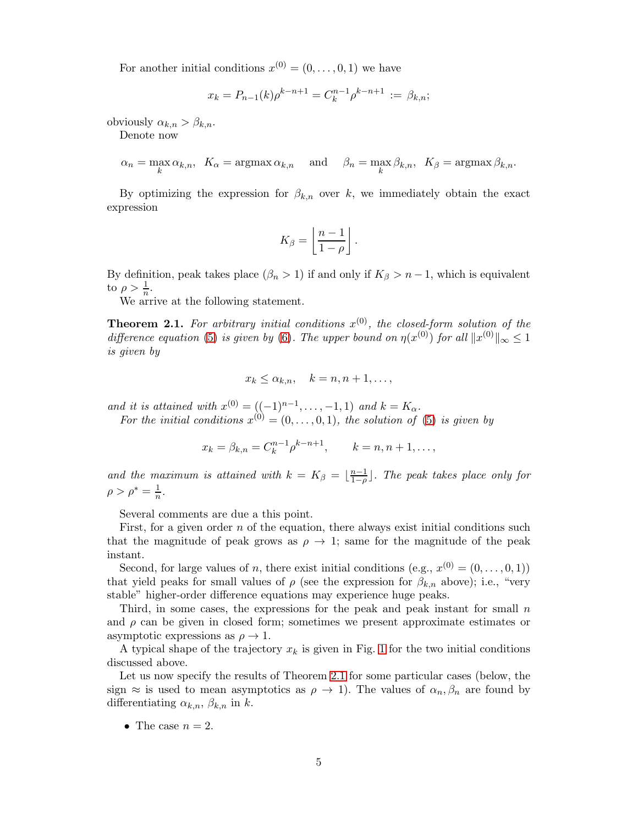For another initial conditions  $x^{(0)} = (0, \ldots, 0, 1)$  we have

$$
x_k = P_{n-1}(k)\rho^{k-n+1} = C_k^{n-1}\rho^{k-n+1} := \beta_{k,n};
$$

obviously  $\alpha_{k,n} > \beta_{k,n}$ .

Denote now

$$
\alpha_n = \max_k \alpha_{k,n}, \ \ K_\alpha = \operatorname{argmax} \alpha_{k,n} \quad \text{and} \quad \beta_n = \max_k \beta_{k,n}, \ \ K_\beta = \operatorname{argmax} \beta_{k,n}.
$$

By optimizing the expression for  $\beta_{k,n}$  over k, we immediately obtain the exact expression

$$
K_{\beta}=\left\lfloor \frac{n-1}{1-\rho}\right\rfloor.
$$

By definition, peak takes place  $(\beta_n > 1)$  if and only if  $K_\beta > n - 1$ , which is equivalent to  $\rho > \frac{1}{n}$ .

We arrive at the following statement.

<span id="page-4-0"></span>**Theorem 2.1.** For arbitrary initial conditions  $x^{(0)}$ , the closed-form solution of the difference equation [\(5\)](#page-3-1) is given by [\(6\)](#page-3-0). The upper bound on  $\eta(x^{(0)})$  for all  $||x^{(0)}||_{\infty} \leq 1$ is given by

$$
x_k \leq \alpha_{k,n}, \quad k = n, n+1, \ldots,
$$

and it is attained with  $x^{(0)} = ((-1)^{n-1}, \ldots, -1, 1)$  and  $k = K_{\alpha}$ .

For the initial conditions  $x^{(0)} = (0, \ldots, 0, 1)$ , the solution of [\(5\)](#page-3-1) is given by

$$
x_k = \beta_{k,n} = C_k^{n-1} \rho^{k-n+1}, \qquad k = n, n+1, \ldots,
$$

and the maximum is attained with  $k = K_{\beta} = \lfloor \frac{n-1}{1-\rho} \rfloor$  $\frac{n-1}{1-\rho}$ ]. The peak takes place only for  $\rho > \rho^* = \frac{1}{n}.$ 

Several comments are due a this point.

First, for a given order  $n$  of the equation, there always exist initial conditions such that the magnitude of peak grows as  $\rho \rightarrow 1$ ; same for the magnitude of the peak instant.

Second, for large values of n, there exist initial conditions (e.g.,  $x^{(0)} = (0, \ldots, 0, 1)$ ) that yield peaks for small values of  $\rho$  (see the expression for  $\beta_{k,n}$  above); i.e., "very stable" higher-order difference equations may experience huge peaks.

Third, in some cases, the expressions for the peak and peak instant for small  $n$ and  $\rho$  can be given in closed form; sometimes we present approximate estimates or asymptotic expressions as  $\rho \to 1$ .

A typical shape of the trajectory  $x_k$  is given in Fig. [1](#page-5-0) for the two initial conditions discussed above.

Let us now specify the results of Theorem [2.1](#page-4-0) for some particular cases (below, the sign  $\approx$  is used to mean asymptotics as  $\rho \to 1$ ). The values of  $\alpha_n, \beta_n$  are found by differentiating  $\alpha_{k,n}$ ,  $\beta_{k,n}$  in k.

• The case  $n = 2$ .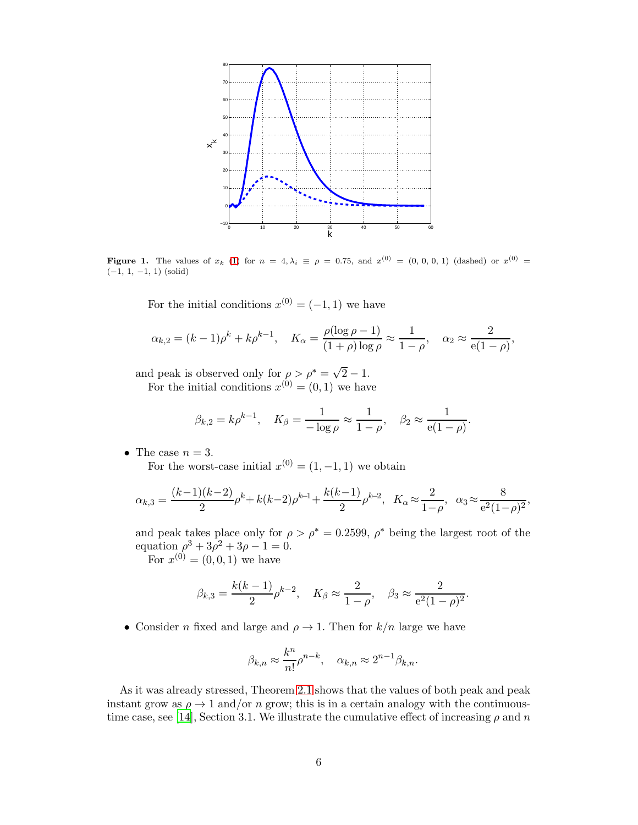

**Figure 1.** The values of  $x_k$  [\(1\)](#page-2-0) for  $n = 4, \lambda_i \equiv \rho = 0.75$ , and  $x^{(0)} = (0, 0, 0, 1)$  (dashed) or  $x^{(0)} =$  $(-1, 1, -1, 1)$  (solid)

<span id="page-5-0"></span>For the initial conditions  $x^{(0)} = (-1, 1)$  we have

$$
\alpha_{k,2} = (k-1)\rho^k + k\rho^{k-1}, \quad K_{\alpha} = \frac{\rho(\log \rho - 1)}{(1+\rho)\log \rho} \approx \frac{1}{1-\rho}, \quad \alpha_2 \approx \frac{2}{e(1-\rho)}
$$

,

.

and peak is observed only for  $\rho > \rho^* = \sqrt{2} - 1$ .

For the initial conditions  $x^{(0)} = (0, 1)$  we have

$$
\beta_{k,2} = k \rho^{k-1}, \quad K_{\beta} = \frac{1}{-\log \rho} \approx \frac{1}{1-\rho}, \quad \beta_2 \approx \frac{1}{e(1-\rho)}.
$$

• The case  $n = 3$ .

For the worst-case initial  $x^{(0)} = (1, -1, 1)$  we obtain

$$
\alpha_{k,3} = \frac{(k-1)(k-2)}{2}\rho^k + k(k-2)\rho^{k-1} + \frac{k(k-1)}{2}\rho^{k-2}, \quad K_\alpha \approx \frac{2}{1-\rho}, \quad \alpha_3 \approx \frac{8}{e^2(1-\rho)^2},
$$

and peak takes place only for  $\rho > \rho^* = 0.2599$ ,  $\rho^*$  being the largest root of the equation  $\rho^3 + 3\rho^2 + 3\rho - 1 = 0.$ 

For  $x^{(0)} = (0, 0, 1)$  we have

$$
\beta_{k,3} = \frac{k(k-1)}{2} \rho^{k-2}, \quad K_{\beta} \approx \frac{2}{1-\rho}, \quad \beta_3 \approx \frac{2}{e^2(1-\rho)^2}
$$

• Consider *n* fixed and large and  $\rho \rightarrow 1$ . Then for  $k/n$  large we have

$$
\beta_{k,n} \approx \frac{k^n}{n!} \rho^{n-k}, \quad \alpha_{k,n} \approx 2^{n-1} \beta_{k,n}.
$$

As it was already stressed, Theorem [2.1](#page-4-0) shows that the values of both peak and peak instant grow as  $\rho \rightarrow 1$  and/or n grow; this is in a certain analogy with the continuous-time case, see [\[14\]](#page-14-1), Section 3.1. We illustrate the cumulative effect of increasing  $\rho$  and n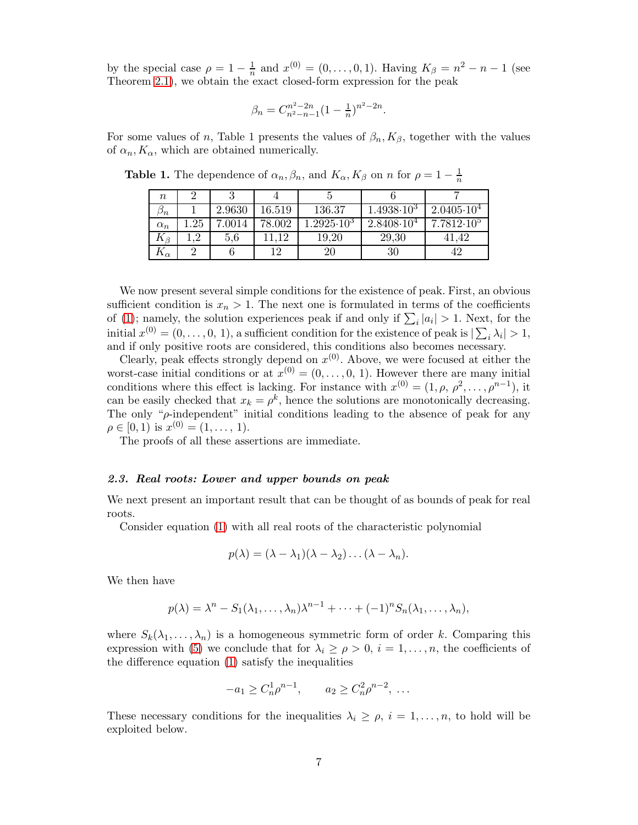by the special case  $\rho = 1 - \frac{1}{n}$  and  $x^{(0)} = (0, ..., 0, 1)$ . Having  $K_{\beta} = n^2 - n - 1$  (see Theorem [2.1\)](#page-4-0), we obtain the exact closed-form expression for the peak

$$
\beta_n = C_{n^2 - n - 1}^{n^2 - 2n} (1 - \frac{1}{n})^{n^2 - 2n}.
$$

For some values of n, Table 1 presents the values of  $\beta_n, K_\beta$ , together with the values of  $\alpha_n, K_\alpha$ , which are obtained numerically.

**Table 1.** The dependence of  $\alpha_n, \beta_n$ , and  $K_\alpha, K_\beta$  on n for  $\rho = 1 - \frac{1}{n}$ 

| $\it{n}$         |     |        |        |                    |                     |                     |
|------------------|-----|--------|--------|--------------------|---------------------|---------------------|
| $\cup_n$         |     | 2.9630 | 16.519 | 136.37             | $1.4938 \cdot 10^3$ | $2.0405 \cdot 10^4$ |
| $\alpha_n$       | .25 | .0014  | 78.002 | $.2925 \cdot 10^3$ | $2.8408 \cdot 10^4$ | $7.7812 \cdot 10^5$ |
| $K_{\beta}$      | റ   | 5.6    | 19     | 19,20              | 29,30               | .42                 |
| $\cdot_{\alpha}$ |     |        | 1 ດ    | 20                 | 30                  |                     |

We now present several simple conditions for the existence of peak. First, an obvious sufficient condition is  $x_n > 1$ . The next one is formulated in terms of the coefficients of [\(1\)](#page-2-0); namely, the solution experiences peak if and only if  $\sum_i |a_i| > 1$ . Next, for the initial  $x^{(0)} = (0, \ldots, 0, 1)$ , a sufficient condition for the existence of peak is  $|\sum_i \lambda_i| > 1$ , and if only positive roots are considered, this conditions also becomes necessary.

Clearly, peak effects strongly depend on  $x^{(0)}$ . Above, we were focused at either the worst-case initial conditions or at  $x^{(0)} = (0, \ldots, 0, 1)$ . However there are many initial conditions where this effect is lacking. For instance with  $x^{(0)} = (1, \rho, \rho^2, \ldots, \rho^{n-1}),$  it can be easily checked that  $x_k = \rho^k$ , hence the solutions are monotonically decreasing. The only " $\rho$ -independent" initial conditions leading to the absence of peak for any  $\rho \in [0, 1)$  is  $x^{(0)} = (1, \ldots, 1)$ .

The proofs of all these assertions are immediate.

## <span id="page-6-0"></span>2.3. Real roots: Lower and upper bounds on peak

We next present an important result that can be thought of as bounds of peak for real roots.

Consider equation [\(1\)](#page-2-0) with all real roots of the characteristic polynomial

$$
p(\lambda)=(\lambda-\lambda_1)(\lambda-\lambda_2)\ldots(\lambda-\lambda_n).
$$

We then have

$$
p(\lambda) = \lambda^n - S_1(\lambda_1, \ldots, \lambda_n) \lambda^{n-1} + \cdots + (-1)^n S_n(\lambda_1, \ldots, \lambda_n),
$$

where  $S_k(\lambda_1,\ldots,\lambda_n)$  is a homogeneous symmetric form of order k. Comparing this expression with [\(5\)](#page-3-1) we conclude that for  $\lambda_i \geq \rho > 0$ ,  $i = 1, \ldots, n$ , the coefficients of the difference equation [\(1\)](#page-2-0) satisfy the inequalities

$$
-a_1 \ge C_n^1 \rho^{n-1}, \qquad a_2 \ge C_n^2 \rho^{n-2}, \ \ldots
$$

These necessary conditions for the inequalities  $\lambda_i \geq \rho$ ,  $i = 1, \ldots, n$ , to hold will be exploited below.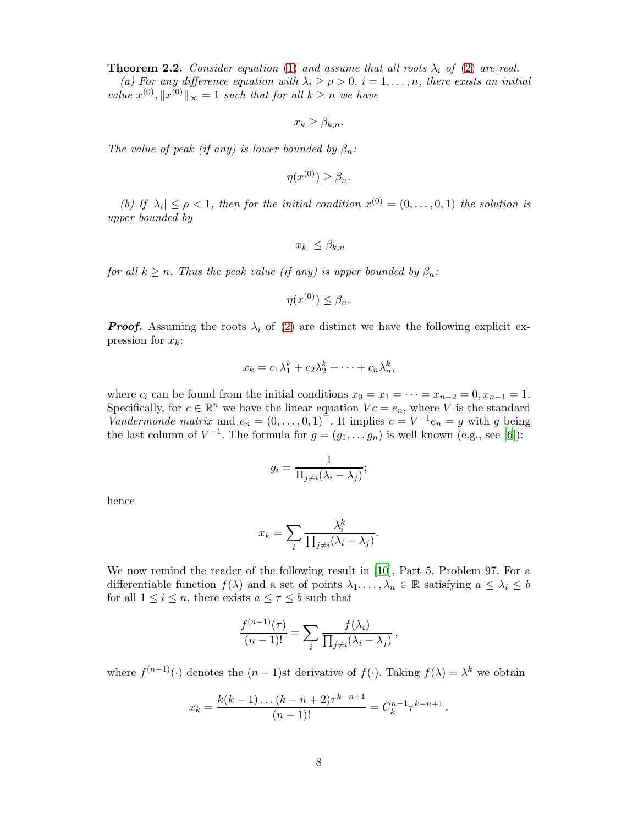<span id="page-7-0"></span>**Theorem 2.2.** Consider equation [\(1\)](#page-2-0) and assume that all roots  $\lambda_i$  of [\(2\)](#page-2-1) are real. (a) For any difference equation with  $\lambda_i \ge \rho > 0$ ,  $i = 1, \ldots, n$ , there exists an initial value  $x^{(0)}, \|x^{(0)}\|_{\infty} = 1$  such that for all  $k \geq n$  we have

$$
x_k \geq \beta_{k,n}.
$$

The value of peak (if any) is lower bounded by  $\beta_n$ :

$$
\eta(x^{(0)}) \ge \beta_n.
$$

(b) If  $|\lambda_i| \leq \rho < 1$ , then for the initial condition  $x^{(0)} = (0, \ldots, 0, 1)$  the solution is upper bounded by

$$
|x_k| \leq \beta_{k,n}
$$

for all  $k \geq n$ . Thus the peak value (if any) is upper bounded by  $\beta_n$ :

$$
\eta(x^{(0)}) \leq \beta_n.
$$

**Proof.** Assuming the roots  $\lambda_i$  of [\(2\)](#page-2-1) are distinct we have the following explicit expression for  $x_k$ :

$$
x_k = c_1 \lambda_1^k + c_2 \lambda_2^k + \dots + c_n \lambda_n^k,
$$

where  $c_i$  can be found from the initial conditions  $x_0 = x_1 = \cdots = x_{n-2} = 0, x_{n-1} = 1$ . Specifically, for  $c \in \mathbb{R}^n$  we have the linear equation  $Vc = e_n$ , where V is the standard Vandermonde matrix and  $e_n = (0, \ldots, 0, 1)^\top$ . It implies  $c = V^{-1}e_n = g$  with g being the last column of  $V^{-1}$ . The formula for  $g = (g_1, \ldots, g_n)$  is well known (e.g., see [\[6](#page-14-8)]):

$$
g_i = \frac{1}{\prod_{j \neq i} (\lambda_i - \lambda_j)};
$$

hence

$$
x_k = \sum_i \frac{\lambda_i^k}{\prod_{j \neq i} (\lambda_i - \lambda_j)}.
$$

We now remind the reader of the following result in [\[10](#page-14-9)], Part 5, Problem 97. For a differentiable function  $f(\lambda)$  and a set of points  $\lambda_1, \ldots, \lambda_n \in \mathbb{R}$  satisfying  $a \leq \lambda_i \leq b$ for all  $1 \leq i \leq n$ , there exists  $a \leq \tau \leq b$  such that

$$
\frac{f^{(n-1)}(\tau)}{(n-1)!} = \sum_i \frac{f(\lambda_i)}{\prod_{j\neq i}(\lambda_i - \lambda_j)},
$$

where  $f^{(n-1)}(\cdot)$  denotes the  $(n-1)$ st derivative of  $f(\cdot)$ . Taking  $f(\lambda) = \lambda^k$  we obtain

$$
x_k = \frac{k(k-1)\dots(k-n+2)\tau^{k-n+1}}{(n-1)!} = C_k^{n-1}\tau^{k-n+1}.
$$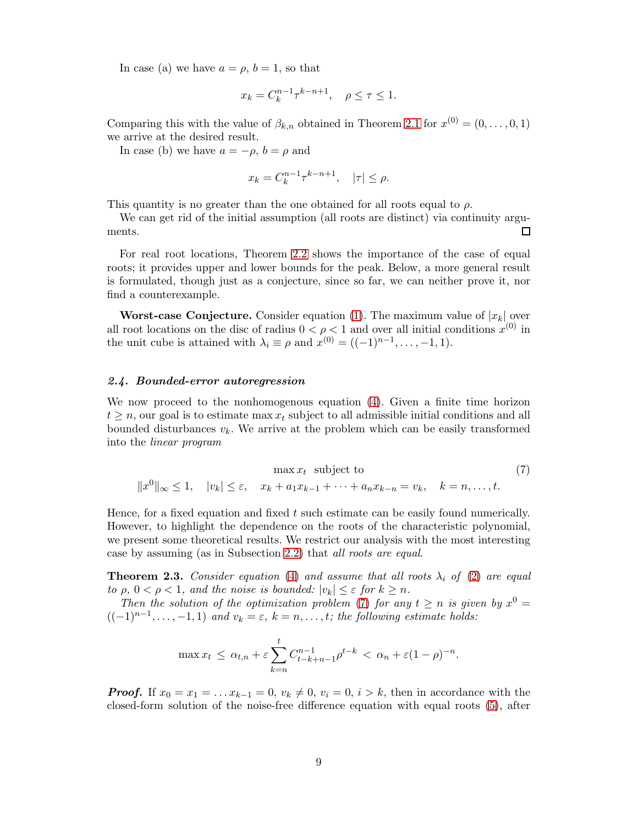In case (a) we have  $a = \rho, b = 1$ , so that

$$
x_k = C_k^{n-1} \tau^{k-n+1}, \quad \rho \le \tau \le 1.
$$

Comparing this with the value of  $\beta_{k,n}$  obtained in Theorem [2.1](#page-4-0) for  $x^{(0)} = (0, \ldots, 0, 1)$ we arrive at the desired result.

In case (b) we have  $a = -\rho$ ,  $b = \rho$  and

$$
x_k = C_k^{n-1} \tau^{k-n+1}, \quad |\tau| \le \rho.
$$

This quantity is no greater than the one obtained for all roots equal to  $\rho$ .

We can get rid of the initial assumption (all roots are distinct) via continuity arguments. П

For real root locations, Theorem [2.2](#page-7-0) shows the importance of the case of equal roots; it provides upper and lower bounds for the peak. Below, a more general result is formulated, though just as a conjecture, since so far, we can neither prove it, nor find a counterexample.

**Worst-case Conjecture.** Consider equation [\(1\)](#page-2-0). The maximum value of  $|x_k|$  over all root locations on the disc of radius  $0 < \rho < 1$  and over all initial conditions  $x^{(0)}$  in the unit cube is attained with  $\lambda_i \equiv \rho$  and  $x^{(0)} = ((-1)^{n-1}, \ldots, -1, 1)$ .

# 2.4. Bounded-error autoregression

We now proceed to the nonhomogenous equation [\(4\)](#page-2-3). Given a finite time horizon  $t \geq n$ , our goal is to estimate max  $x_t$  subject to all admissible initial conditions and all bounded disturbances  $v_k$ . We arrive at the problem which can be easily transformed into the linear program

<span id="page-8-0"></span>
$$
\max x_t \text{ subject to} \tag{7}
$$
  

$$
||x^0||_{\infty} \le 1, \quad |v_k| \le \varepsilon, \quad x_k + a_1 x_{k-1} + \dots + a_n x_{k-n} = v_k, \quad k = n, \dots, t.
$$

Hence, for a fixed equation and fixed  $t$  such estimate can be easily found numerically. However, to highlight the dependence on the roots of the characteristic polynomial, we present some theoretical results. We restrict our analysis with the most interesting case by assuming (as in Subsection [2.2\)](#page-2-4) that all roots are equal.

**Theorem 2.3.** Consider equation [\(4\)](#page-2-3) and assume that all roots  $\lambda_i$  of [\(2\)](#page-2-1) are equal to  $\rho, 0 < \rho < 1$ , and the noise is bounded:  $|v_k| \leq \varepsilon$  for  $k \geq n$ .

Then the solution of the optimization problem [\(7\)](#page-8-0) for any  $t \geq n$  is given by  $x^0 =$  $((-1)^{n-1}, \ldots, -1, 1)$  and  $v_k = \varepsilon$ ,  $k = n, \ldots, t$ ; the following estimate holds:

$$
\max x_t \leq \alpha_{t,n} + \varepsilon \sum_{k=n}^t C_{t-k+n-1}^{n-1} \rho^{t-k} < \alpha_n + \varepsilon (1-\rho)^{-n}.
$$

**Proof.** If  $x_0 = x_1 = \dots x_{k-1} = 0$ ,  $v_k \neq 0$ ,  $v_i = 0$ ,  $i > k$ , then in accordance with the closed-form solution of the noise-free difference equation with equal roots [\(5\)](#page-3-1), after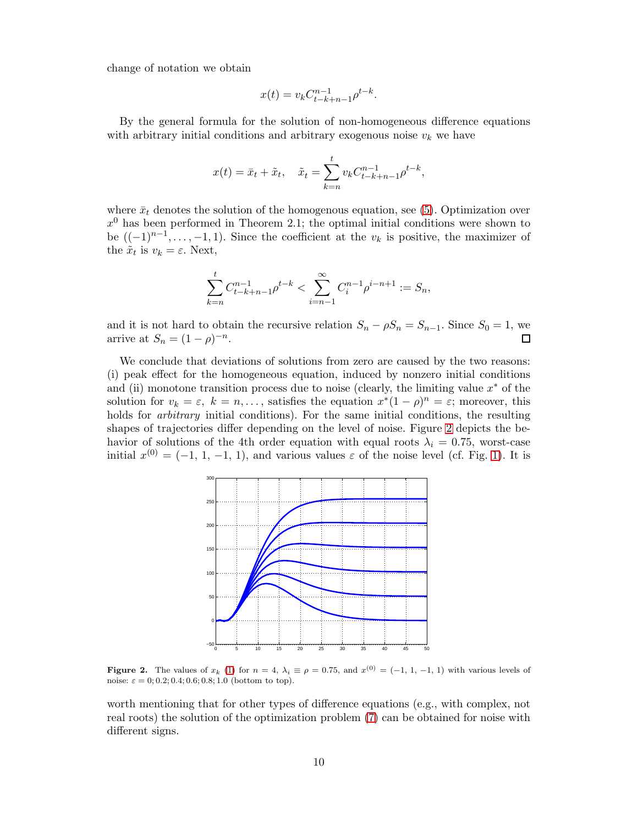change of notation we obtain

$$
x(t) = v_k C_{t-k+n-1}^{n-1} \rho^{t-k}.
$$

By the general formula for the solution of non-homogeneous difference equations with arbitrary initial conditions and arbitrary exogenous noise  $v_k$  we have

$$
x(t) = \bar{x}_t + \tilde{x}_t, \quad \tilde{x}_t = \sum_{k=n}^t v_k C_{t-k+n-1}^{n-1} \rho^{t-k},
$$

where  $\bar{x}_t$  denotes the solution of the homogenous equation, see [\(5\)](#page-3-1). Optimization over  $x<sup>0</sup>$  has been performed in Theorem 2.1; the optimal initial conditions were shown to be  $((-1)^{n-1}, \ldots, -1, 1)$ . Since the coefficient at the  $v_k$  is positive, the maximizer of the  $\tilde{x}_t$  is  $v_k = \varepsilon$ . Next,

$$
\sum_{k=n}^{t} C_{t-k+n-1}^{n-1} \rho^{t-k} < \sum_{i=n-1}^{\infty} C_i^{n-1} \rho^{i-n+1} := S_n,
$$

and it is not hard to obtain the recursive relation  $S_n - \rho S_n = S_{n-1}$ . Since  $S_0 = 1$ , we arrive at  $S_n = (1 - \rho)^{-n}$ . arrive at  $S_n = (1 - \rho)^{-n}$ .

We conclude that deviations of solutions from zero are caused by the two reasons: (i) peak effect for the homogeneous equation, induced by nonzero initial conditions and (ii) monotone transition process due to noise (clearly, the limiting value  $x^*$  of the solution for  $v_k = \varepsilon$ ,  $k = n, \ldots$ , satisfies the equation  $x^*(1 - \rho)^n = \varepsilon$ ; moreover, this holds for *arbitrary* initial conditions). For the same initial conditions, the resulting shapes of trajectories differ depending on the level of noise. Figure [2](#page-9-0) depicts the behavior of solutions of the 4th order equation with equal roots  $\lambda_i = 0.75$ , worst-case initial  $x^{(0)} = (-1, 1, -1, 1)$  $x^{(0)} = (-1, 1, -1, 1)$ , and various values  $\varepsilon$  of the noise level (cf. Fig. 1). It is



<span id="page-9-0"></span>**Figure 2.** The values of  $x_k$  [\(1\)](#page-2-0) for  $n = 4$ ,  $\lambda_i \equiv \rho = 0.75$ , and  $x^{(0)} = (-1, 1, -1, 1)$  with various levels of noise:  $\varepsilon = 0; 0.2; 0.4; 0.6; 0.8; 1.0$  (bottom to top).

worth mentioning that for other types of difference equations (e.g., with complex, not real roots) the solution of the optimization problem [\(7\)](#page-8-0) can be obtained for noise with different signs.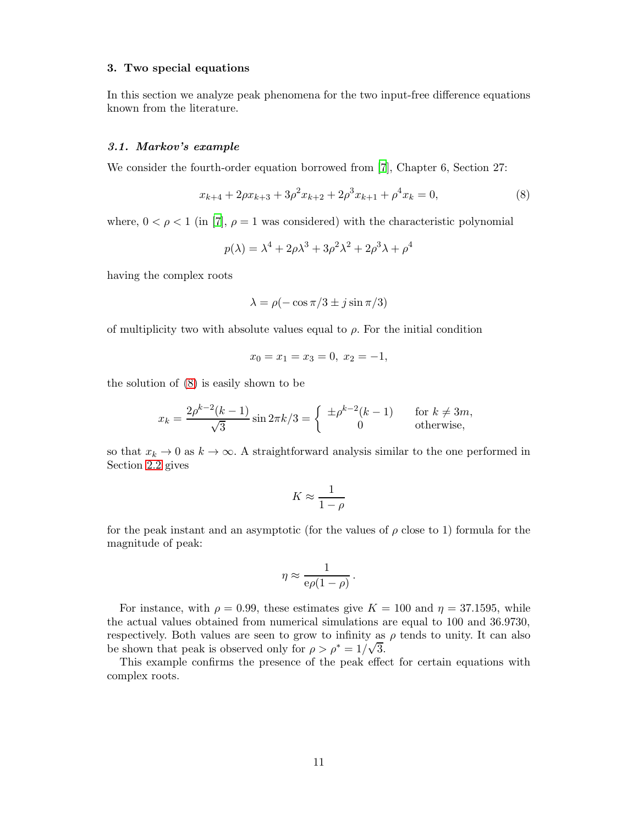## 3. Two special equations

In this section we analyze peak phenomena for the two input-free difference equations known from the literature.

### <span id="page-10-1"></span>3.1. Markov's example

We consider the fourth-order equation borrowed from [\[7\]](#page-14-10), Chapter 6, Section 27:

<span id="page-10-0"></span>
$$
x_{k+4} + 2\rho x_{k+3} + 3\rho^2 x_{k+2} + 2\rho^3 x_{k+1} + \rho^4 x_k = 0,
$$
\n(8)

where,  $0 < \rho < 1$  (in [\[7](#page-14-10)],  $\rho = 1$  was considered) with the characteristic polynomial

$$
p(\lambda) = \lambda^4 + 2\rho\lambda^3 + 3\rho^2\lambda^2 + 2\rho^3\lambda + \rho^4
$$

having the complex roots

$$
\lambda = \rho(-\cos \pi/3 \pm j \sin \pi/3)
$$

of multiplicity two with absolute values equal to  $\rho$ . For the initial condition

$$
x_0 = x_1 = x_3 = 0, \ x_2 = -1,
$$

the solution of [\(8\)](#page-10-0) is easily shown to be

$$
x_k = \frac{2\rho^{k-2}(k-1)}{\sqrt{3}}\sin 2\pi k/3 = \begin{cases} \pm \rho^{k-2}(k-1) & \text{for } k \neq 3m, \\ 0 & \text{otherwise,} \end{cases}
$$

so that  $x_k \to 0$  as  $k \to \infty$ . A straightforward analysis similar to the one performed in Section [2.2](#page-2-4) gives

$$
K \approx \frac{1}{1 - \rho}
$$

for the peak instant and an asymptotic (for the values of  $\rho$  close to 1) formula for the magnitude of peak:

$$
\eta \approx \frac{1}{e\rho(1-\rho)}\,.
$$

For instance, with  $\rho = 0.99$ , these estimates give  $K = 100$  and  $\eta = 37.1595$ , while the actual values obtained from numerical simulations are equal to 100 and 36.9730, respectively. Both values are seen to grow to infinity as  $\rho$  tends to unity. It can also be shown that peak is observed only for  $\rho > \rho^* = 1/\sqrt{3}$ .

This example confirms the presence of the peak effect for certain equations with complex roots.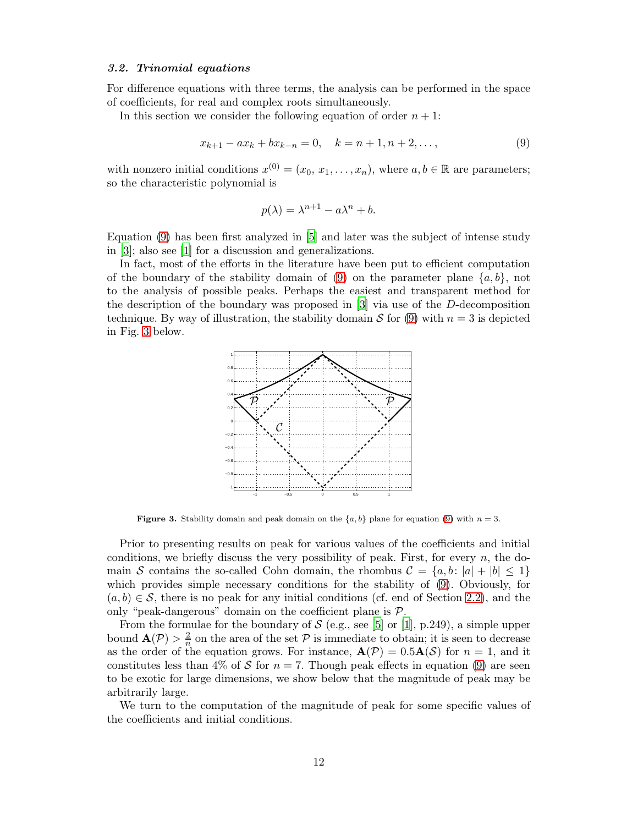### 3.2. Trinomial equations

For difference equations with three terms, the analysis can be performed in the space of coefficients, for real and complex roots simultaneously.

In this section we consider the following equation of order  $n + 1$ :

<span id="page-11-0"></span>
$$
x_{k+1} - ax_k + bx_{k-n} = 0, \quad k = n+1, n+2, \dots,
$$
\n(9)

with nonzero initial conditions  $x^{(0)} = (x_0, x_1, \ldots, x_n)$ , where  $a, b \in \mathbb{R}$  are parameters; so the characteristic polynomial is

$$
p(\lambda) = \lambda^{n+1} - a\lambda^n + b.
$$

Equation [\(9\)](#page-11-0) has been first analyzed in [\[5](#page-14-11)] and later was the subject of intense study in [\[3\]](#page-13-3); also see [\[1\]](#page-13-0) for a discussion and generalizations.

In fact, most of the efforts in the literature have been put to efficient computation of the boundary of the stability domain of [\(9\)](#page-11-0) on the parameter plane  $\{a, b\}$ , not to the analysis of possible peaks. Perhaps the easiest and transparent method for the description of the boundary was proposed in [\[3\]](#page-13-3) via use of the D-decomposition technique. By way of illustration, the stability domain S for [\(9\)](#page-11-0) with  $n = 3$  is depicted in Fig. [3](#page-11-1) below.



<span id="page-11-1"></span>**Figure 3.** Stability domain and peak domain on the  $\{a, b\}$  plane for equation [\(9\)](#page-11-0) with  $n = 3$ .

Prior to presenting results on peak for various values of the coefficients and initial conditions, we briefly discuss the very possibility of peak. First, for every  $n$ , the domain S contains the so-called Cohn domain, the rhombus  $\mathcal{C} = \{a, b : |a| + |b| \leq 1\}$ which provides simple necessary conditions for the stability of [\(9\)](#page-11-0). Obviously, for  $(a, b) \in S$ , there is no peak for any initial conditions (cf. end of Section [2.2\)](#page-2-4), and the only "peak-dangerous" domain on the coefficient plane is P.

From the formulae for the boundary of  $S$  (e.g., see [\[5\]](#page-14-11) or [\[1](#page-13-0)], p.249), a simple upper bound  $\mathbf{A}(\mathcal{P}) > \frac{2}{n}$  on the area of the set  $\mathcal P$  is immediate to obtain; it is seen to decrease as the order of the equation grows. For instance,  $\mathbf{A}(\mathcal{P}) = 0.5\mathbf{A}(\mathcal{S})$  for  $n = 1$ , and it constitutes less than 4% of S for  $n = 7$ . Though peak effects in equation [\(9\)](#page-11-0) are seen to be exotic for large dimensions, we show below that the magnitude of peak may be arbitrarily large.

We turn to the computation of the magnitude of peak for some specific values of the coefficients and initial conditions.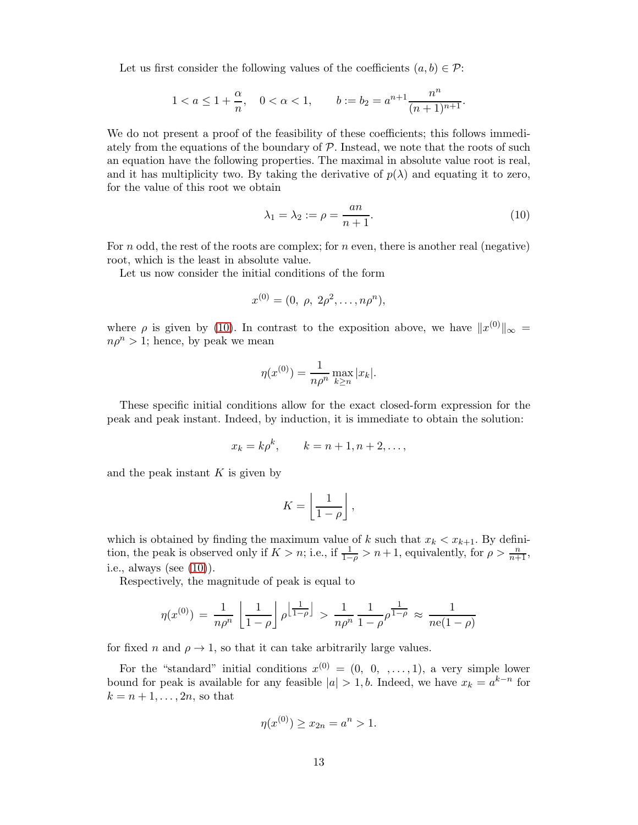Let us first consider the following values of the coefficients  $(a, b) \in \mathcal{P}$ :

$$
1 < a \le 1 + \frac{\alpha}{n}, \quad 0 < \alpha < 1, \qquad b := b_2 = a^{n+1} \frac{n^n}{(n+1)^{n+1}}.
$$

We do not present a proof of the feasibility of these coefficients; this follows immediately from the equations of the boundary of  $P$ . Instead, we note that the roots of such an equation have the following properties. The maximal in absolute value root is real, and it has multiplicity two. By taking the derivative of  $p(\lambda)$  and equating it to zero, for the value of this root we obtain

<span id="page-12-0"></span>
$$
\lambda_1 = \lambda_2 := \rho = \frac{an}{n+1}.\tag{10}
$$

For n odd, the rest of the roots are complex; for n even, there is another real (negative) root, which is the least in absolute value.

Let us now consider the initial conditions of the form

$$
x^{(0)} = (0, \rho, 2\rho^2, \ldots, n\rho^n),
$$

where  $\rho$  is given by [\(10\)](#page-12-0). In contrast to the exposition above, we have  $||x^{(0)}||_{\infty} =$  $n\rho^{n} > 1$ ; hence, by peak we mean

$$
\eta(x^{(0)}) = \frac{1}{n\rho^n} \max_{k \ge n} |x_k|.
$$

These specific initial conditions allow for the exact closed-form expression for the peak and peak instant. Indeed, by induction, it is immediate to obtain the solution:

$$
x_k = k\rho^k, \qquad k = n+1, n+2, \dots,
$$

and the peak instant  $K$  is given by

$$
K = \left\lfloor \frac{1}{1 - \rho} \right\rfloor,
$$

which is obtained by finding the maximum value of k such that  $x_k < x_{k+1}$ . By definition, the peak is observed only if  $K > n$ ; i.e., if  $\frac{1}{1-\rho} > n+1$ , equivalently, for  $\rho > \frac{n}{n+1}$ , i.e., always (see [\(10\)](#page-12-0)).

Respectively, the magnitude of peak is equal to

$$
\eta(x^{(0)}) = \frac{1}{n\rho^n} \left[ \frac{1}{1-\rho} \right] \rho^{\left[\frac{1}{1-\rho}\right]} > \frac{1}{n\rho^n} \frac{1}{1-\rho} \rho^{\frac{1}{1-\rho}} \approx \frac{1}{n e (1-\rho)}
$$

for fixed n and  $\rho \rightarrow 1$ , so that it can take arbitrarily large values.

For the "standard" initial conditions  $x^{(0)} = (0, 0, \dots, 1)$ , a very simple lower bound for peak is available for any feasible  $|a| > 1$ , b. Indeed, we have  $x_k = a^{k-n}$  for  $k = n + 1, \ldots, 2n$ , so that

$$
\eta(x^{(0)}) \ge x_{2n} = a^n > 1.
$$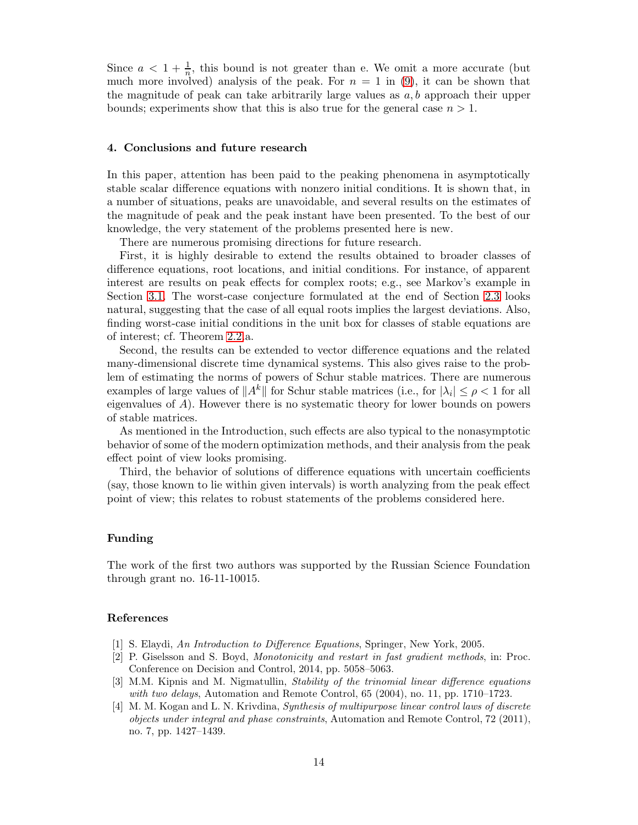Since  $a < 1 + \frac{1}{n}$ , this bound is not greater than e. We omit a more accurate (but much more involved) analysis of the peak. For  $n = 1$  in [\(9\)](#page-11-0), it can be shown that the magnitude of peak can take arbitrarily large values as  $a, b$  approach their upper bounds; experiments show that this is also true for the general case  $n > 1$ .

### 4. Conclusions and future research

In this paper, attention has been paid to the peaking phenomena in asymptotically stable scalar difference equations with nonzero initial conditions. It is shown that, in a number of situations, peaks are unavoidable, and several results on the estimates of the magnitude of peak and the peak instant have been presented. To the best of our knowledge, the very statement of the problems presented here is new.

There are numerous promising directions for future research.

First, it is highly desirable to extend the results obtained to broader classes of difference equations, root locations, and initial conditions. For instance, of apparent interest are results on peak effects for complex roots; e.g., see Markov's example in Section [3.1.](#page-10-1) The worst-case conjecture formulated at the end of Section [2.3](#page-6-0) looks natural, suggesting that the case of all equal roots implies the largest deviations. Also, finding worst-case initial conditions in the unit box for classes of stable equations are of interest; cf. Theorem [2.2.](#page-7-0)a.

Second, the results can be extended to vector difference equations and the related many-dimensional discrete time dynamical systems. This also gives raise to the problem of estimating the norms of powers of Schur stable matrices. There are numerous examples of large values of  $||A^k||$  for Schur stable matrices (i.e., for  $|\lambda_i| \leq \rho < 1$  for all eigenvalues of  $A$ ). However there is no systematic theory for lower bounds on powers of stable matrices.

As mentioned in the Introduction, such effects are also typical to the nonasymptotic behavior of some of the modern optimization methods, and their analysis from the peak effect point of view looks promising.

Third, the behavior of solutions of difference equations with uncertain coefficients (say, those known to lie within given intervals) is worth analyzing from the peak effect point of view; this relates to robust statements of the problems considered here.

# Funding

The work of the first two authors was supported by the Russian Science Foundation through grant no. 16-11-10015.

## References

- <span id="page-13-0"></span>[1] S. Elaydi, An Introduction to Difference Equations, Springer, New York, 2005.
- <span id="page-13-2"></span>[2] P. Giselsson and S. Boyd, Monotonicity and restart in fast gradient methods, in: Proc. Conference on Decision and Control, 2014, pp. 5058–5063.
- <span id="page-13-3"></span>[3] M.M. Kipnis and M. Nigmatullin, Stability of the trinomial linear difference equations with two delays, Automation and Remote Control,  $65$   $(2004)$ , no. 11, pp. 1710–1723.
- <span id="page-13-1"></span>[4] M. M. Kogan and L. N. Krivdina, Synthesis of multipurpose linear control laws of discrete objects under integral and phase constraints, Automation and Remote Control, 72 (2011), no. 7, pp. 1427–1439.